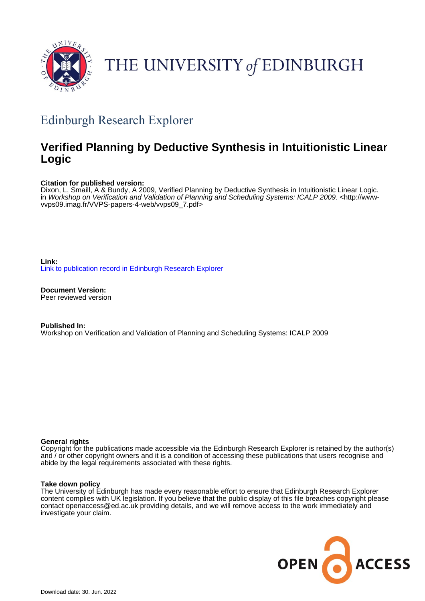

# THE UNIVERSITY of EDINBURGH

## Edinburgh Research Explorer

## **Verified Planning by Deductive Synthesis in Intuitionistic Linear Logic**

#### **Citation for published version:**

Dixon, L, Smaill, A & Bundy, A 2009, Verified Planning by Deductive Synthesis in Intuitionistic Linear Logic. in Workshop on Verification and Validation of Planning and Scheduling Systems: ICALP 2009. [<http://www](http://www-vvps09.imag.fr/VVPS-papers-4-web/vvps09_7.pdf)[vvps09.imag.fr/VVPS-papers-4-web/vvps09\\_7.pdf](http://www-vvps09.imag.fr/VVPS-papers-4-web/vvps09_7.pdf)>

**Link:** [Link to publication record in Edinburgh Research Explorer](https://www.research.ed.ac.uk/en/publications/9ff8feaf-6b86-4814-89d2-96ceab6a3490)

**Document Version:** Peer reviewed version

**Published In:** Workshop on Verification and Validation of Planning and Scheduling Systems: ICALP 2009

#### **General rights**

Copyright for the publications made accessible via the Edinburgh Research Explorer is retained by the author(s) and / or other copyright owners and it is a condition of accessing these publications that users recognise and abide by the legal requirements associated with these rights.

#### **Take down policy**

The University of Edinburgh has made every reasonable effort to ensure that Edinburgh Research Explorer content complies with UK legislation. If you believe that the public display of this file breaches copyright please contact openaccess@ed.ac.uk providing details, and we will remove access to the work immediately and investigate your claim.

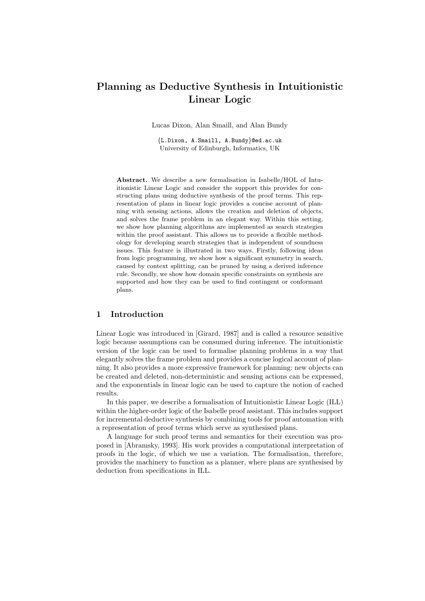## Planning as Deductive Synthesis in Intuitionistic Linear Logic

Lucas Dixon, Alan Smaill, and Alan Bundy

{L.Dixon, A.Smaill, A.Bundy}@ed.ac.uk University of Edinburgh, Informatics, UK

Abstract. We describe a new formalisation in Isabelle/HOL of Intuitionistic Linear Logic and consider the support this provides for constructing plans using deductive synthesis of the proof terms. This representation of plans in linear logic provides a concise account of planning with sensing actions, allows the creation and deletion of objects, and solves the frame problem in an elegant way. Within this setting, we show how planning algorithms are implemented as search strategies within the proof assistant. This allows us to provide a flexible methodology for developing search strategies that is independent of soundness issues. This feature is illustrated in two ways. Firstly, following ideas from logic programming, we show how a significant symmetry in search, caused by context splitting, can be pruned by using a derived inference rule. Secondly, we show how domain specific constraints on synthesis are supported and how they can be used to find contingent or conformant plans.

#### 1 Introduction

Linear Logic was introduced in [Girard, 1987] and is called a resource sensitive logic because assumptions can be consumed during inference. The intuitionistic version of the logic can be used to formalise planning problems in a way that elegantly solves the frame problem and provides a concise logical account of planning. It also provides a more expressive framework for planning: new objects can be created and deleted, non-deterministic and sensing actions can be expressed, and the exponentials in linear logic can be used to capture the notion of cached results.

In this paper, we describe a formalisation of Intuitionistic Linear Logic (ILL) within the higher-order logic of the Isabelle proof assistant. This includes support for incremental deductive synthesis by combining tools for proof automation with a representation of proof terms which serve as synthesised plans.

A language for such proof terms and semantics for their execution was proposed in [Abramsky, 1993]. His work provides a computational interpretation of proofs in the logic, of which we use a variation. The formalisation, therefore, provides the machinery to function as a planner, where plans are synthesised by deduction from specifications in ILL.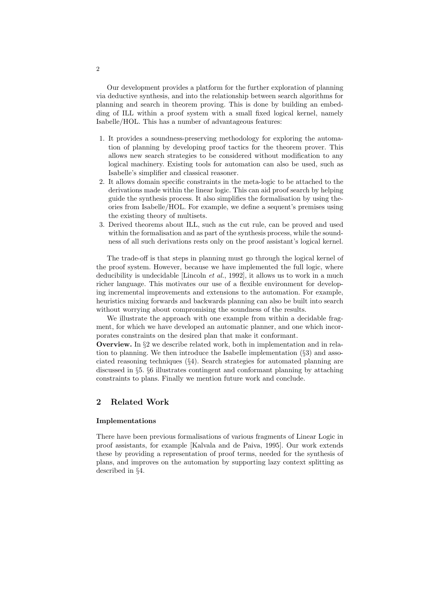Our development provides a platform for the further exploration of planning via deductive synthesis, and into the relationship between search algorithms for planning and search in theorem proving. This is done by building an embedding of ILL within a proof system with a small fixed logical kernel, namely Isabelle/HOL. This has a number of advantageous features:

- 1. It provides a soundness-preserving methodology for exploring the automation of planning by developing proof tactics for the theorem prover. This allows new search strategies to be considered without modification to any logical machinery. Existing tools for automation can also be used, such as Isabelle's simplifier and classical reasoner.
- 2. It allows domain specific constraints in the meta-logic to be attached to the derivations made within the linear logic. This can aid proof search by helping guide the synthesis process. It also simplifies the formalisation by using theories from Isabelle/HOL. For example, we define a sequent's premises using the existing theory of multisets.
- 3. Derived theorems about ILL, such as the cut rule, can be proved and used within the formalisation and as part of the synthesis process, while the soundness of all such derivations rests only on the proof assistant's logical kernel.

The trade-off is that steps in planning must go through the logical kernel of the proof system. However, because we have implemented the full logic, where deducibility is undecidable [Lincoln *et al.*, 1992], it allows us to work in a much richer language. This motivates our use of a flexible environment for developing incremental improvements and extensions to the automation. For example, heuristics mixing forwards and backwards planning can also be built into search without worrying about compromising the soundness of the results.

We illustrate the approach with one example from within a decidable fragment, for which we have developed an automatic planner, and one which incorporates constraints on the desired plan that make it conformant.

Overview. In §2 we describe related work, both in implementation and in relation to planning. We then introduce the Isabelle implementation  $(\S 3)$  and associated reasoning techniques (§4). Search strategies for automated planning are discussed in §5. §6 illustrates contingent and conformant planning by attaching constraints to plans. Finally we mention future work and conclude.

#### 2 Related Work

#### Implementations

There have been previous formalisations of various fragments of Linear Logic in proof assistants, for example [Kalvala and de Paiva, 1995]. Our work extends these by providing a representation of proof terms, needed for the synthesis of plans, and improves on the automation by supporting lazy context splitting as described in §4.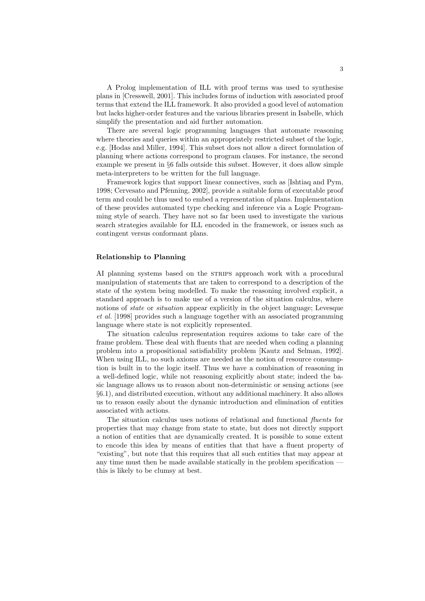A Prolog implementation of ILL with proof terms was used to synthesise plans in [Cresswell, 2001]. This includes forms of induction with associated proof terms that extend the ILL framework. It also provided a good level of automation but lacks higher-order features and the various libraries present in Isabelle, which simplify the presentation and aid further automation.

There are several logic programming languages that automate reasoning where theories and queries within an appropriately restricted subset of the logic, e.g. [Hodas and Miller, 1994]. This subset does not allow a direct formulation of planning where actions correspond to program clauses. For instance, the second example we present in §6 falls outside this subset. However, it does allow simple meta-interpreters to be written for the full language.

Framework logics that support linear connectives, such as [Ishtiaq and Pym, 1998; Cervesato and Pfenning, 2002], provide a suitable form of executable proof term and could be thus used to embed a representation of plans. Implementation of these provides automated type checking and inference via a Logic Programming style of search. They have not so far been used to investigate the various search strategies available for ILL encoded in the framework, or issues such as contingent versus conformant plans.

#### Relationship to Planning

AI planning systems based on the STRIPS approach work with a procedural manipulation of statements that are taken to correspond to a description of the state of the system being modelled. To make the reasoning involved explicit, a standard approach is to make use of a version of the situation calculus, where notions of *state* or *situation* appear explicitly in the object language; Levesque et al. [1998] provides such a language together with an associated programming language where state is not explicitly represented.

The situation calculus representation requires axioms to take care of the frame problem. These deal with fluents that are needed when coding a planning problem into a propositional satisfiability problem [Kautz and Selman, 1992]. When using ILL, no such axioms are needed as the notion of resource consumption is built in to the logic itself. Thus we have a combination of reasoning in a well-defined logic, while not reasoning explicitly about state; indeed the basic language allows us to reason about non-deterministic or sensing actions (see §6.1), and distributed execution, without any additional machinery. It also allows us to reason easily about the dynamic introduction and elimination of entities associated with actions.

The situation calculus uses notions of relational and functional fluents for properties that may change from state to state, but does not directly support a notion of entities that are dynamically created. It is possible to some extent to encode this idea by means of entities that that have a fluent property of "existing", but note that this requires that all such entities that may appear at any time must then be made available statically in the problem specification – this is likely to be clumsy at best.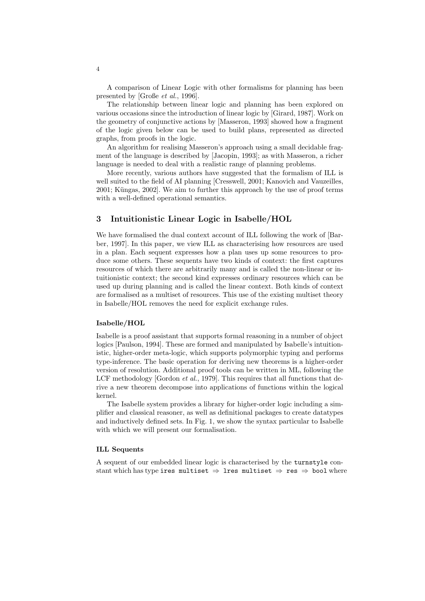A comparison of Linear Logic with other formalisms for planning has been presented by [Große et al., 1996].

The relationship between linear logic and planning has been explored on various occasions since the introduction of linear logic by [Girard, 1987]. Work on the geometry of conjunctive actions by [Masseron, 1993] showed how a fragment of the logic given below can be used to build plans, represented as directed graphs, from proofs in the logic.

An algorithm for realising Masseron's approach using a small decidable fragment of the language is described by [Jacopin, 1993]; as with Masseron, a richer language is needed to deal with a realistic range of planning problems.

More recently, various authors have suggested that the formalism of ILL is well suited to the field of AI planning [Cresswell, 2001; Kanovich and Vauzeilles, 2001; Küngas, 2002]. We aim to further this approach by the use of proof terms with a well-defined operational semantics.

#### 3 Intuitionistic Linear Logic in Isabelle/HOL

We have formalised the dual context account of ILL following the work of [Barber, 1997]. In this paper, we view ILL as characterising how resources are used in a plan. Each sequent expresses how a plan uses up some resources to produce some others. These sequents have two kinds of context: the first captures resources of which there are arbitrarily many and is called the non-linear or intuitionistic context; the second kind expresses ordinary resources which can be used up during planning and is called the linear context. Both kinds of context are formalised as a multiset of resources. This use of the existing multiset theory in Isabelle/HOL removes the need for explicit exchange rules.

#### Isabelle/HOL

Isabelle is a proof assistant that supports formal reasoning in a number of object logics [Paulson, 1994]. These are formed and manipulated by Isabelle's intuitionistic, higher-order meta-logic, which supports polymorphic typing and performs type-inference. The basic operation for deriving new theorems is a higher-order version of resolution. Additional proof tools can be written in ML, following the LCF methodology [Gordon *et al.*, 1979]. This requires that all functions that derive a new theorem decompose into applications of functions within the logical kernel.

The Isabelle system provides a library for higher-order logic including a simplifier and classical reasoner, as well as definitional packages to create datatypes and inductively defined sets. In Fig. 1, we show the syntax particular to Isabelle with which we will present our formalisation.

#### ILL Sequents

A sequent of our embedded linear logic is characterised by the turnstyle constant which has type ires multiset  $\Rightarrow$  lres multiset  $\Rightarrow$  res  $\Rightarrow$  bool where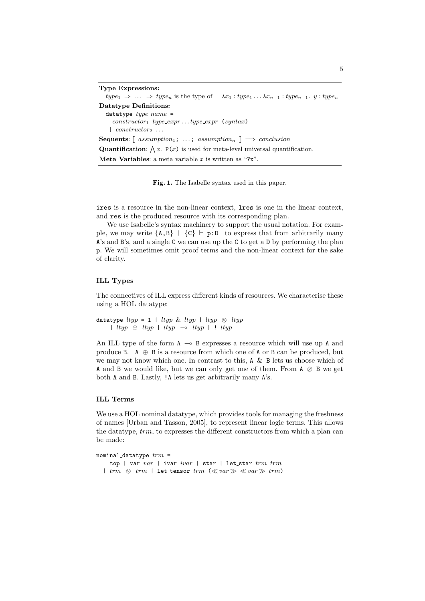Type Expressions:  $type_1 \Rightarrow \ldots \Rightarrow type_n$  is the type of  $\lambda x_1 : type_1 \ldots \lambda x_{n-1} : type_{n-1}.$   $y : type_n$ Datatype Definitions: datatype  $type_name =$  $constructor_1 type\_expr...type\_expr$  (syntax)  $\mid \text{constructor}_2 \dots$ Sequents:  $\lceil$  assumption<sub>1</sub>; ...; assumption<sub>n</sub>  $\rceil \implies$  conclusion **Quantification:**  $\bigwedge x$ .  $P(x)$  is used for meta-level universal quantification. **Meta Variables:** a meta variable x is written as "?x".

Fig. 1. The Isabelle syntax used in this paper.

ires is a resource in the non-linear context, lres is one in the linear context, and res is the produced resource with its corresponding plan.

We use Isabelle's syntax machinery to support the usual notation. For example, we may write  ${A, B}$  |  ${C}$  ⊢ p:D to express that from arbitrarily many A's and B's, and a single  $C$  we can use up the  $C$  to get a  $D$  by performing the plan p. We will sometimes omit proof terms and the non-linear context for the sake of clarity.

#### ILL Types

The connectives of ILL express different kinds of resources. We characterise these using a HOL datatype:

datatype  $ltyp = 1$  |  $ltyp \& ltyp$  |  $ltyp \& ltyp$ | ltyp ⊕ ltyp | ltyp ⊸ ltyp | ! ltyp

An ILL type of the form  $A \rightarrow B$  expresses a resource which will use up A and produce B.  $A \oplus B$  is a resource from which one of A or B can be produced, but we may not know which one. In contrast to this, A & B lets us choose which of A and B we would like, but we can only get one of them. From A ⊗ B we get both A and B. Lastly, !A lets us get arbitrarily many A's.

#### ILL Terms

We use a HOL nominal datatype, which provides tools for managing the freshness of names [Urban and Tasson, 2005], to represent linear logic terms. This allows the datatype, trm, to expresses the different constructors from which a plan can be made:

nominal\_datatype  $trm =$ top | var  $var$  | ivar  $ivar$  | star | let\_star  $trm$   $trm$ | trm  $\otimes$  trm | let\_tensor trm ( $\ll var \gg \ll var \gg trm$ )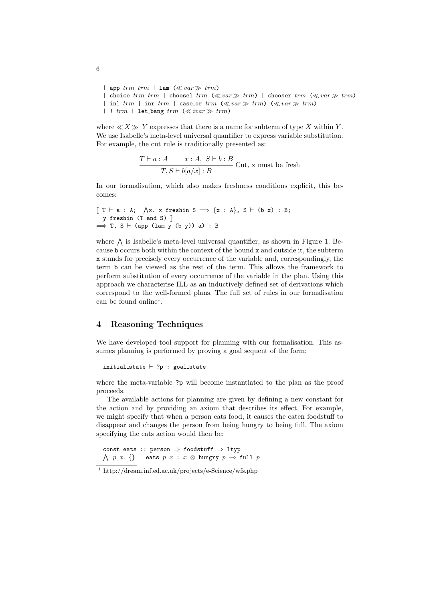| app  $trm$   $trm$  | lam  $(\ll var \gg trm)$ | choice trm trm | choosel trm ( $\ll$ var $\gg$  trm) | chooser trm ( $\ll$ var $\gg$  trm) | inl  $trm$  | inr  $trm$  | case\_or  $trm$  ( $\ll var \gg trm$ ) ( $\ll var \gg trm$ ) | !  $trm$  | let\_bang  $trm$  ( $\ll ivar \gg trm$ )

where  $\ll X \gg Y$  expresses that there is a name for subterm of type X within Y. We use Isabelle's meta-level universal quantifier to express variable substitution. For example, the cut rule is traditionally presented as:

$$
\frac{T\vdash a:A \qquad x:A, \ S\vdash b:B}{T, S\vdash b[a/x]:B}
$$
 Cut, x must be fresh

In our formalisation, which also makes freshness conditions explicit, this becomes:

```
\lbrack\!\lbrack T \vdash a : A; \bigwedgex. x freshin S \Longrightarrow \{x\;:\;A\}, S \vdash (b x) : B;
  y freshin (T and S) \parallel\implies T, S \vdash (app (lam y (b y)) a) : B
```
where  $\bigwedge$  is Isabelle's meta-level universal quantifier, as shown in Figure 1. Because b occurs both within the context of the bound x and outside it, the subterm x stands for precisely every occurrence of the variable and, correspondingly, the term b can be viewed as the rest of the term. This allows the framework to perform substitution of every occurrence of the variable in the plan. Using this approach we characterise ILL as an inductively defined set of derivations which correspond to the well-formed plans. The full set of rules in our formalisation can be found online<sup>1</sup>.

#### 4 Reasoning Techniques

We have developed tool support for planning with our formalisation. This assumes planning is performed by proving a goal sequent of the form:

```
initial_state \vdash ?p : goal_state
```
where the meta-variable ?p will become instantiated to the plan as the proof proceeds.

The available actions for planning are given by defining a new constant for the action and by providing an axiom that describes its effect. For example, we might specify that when a person eats food, it causes the eaten foodstuff to disappear and changes the person from being hungry to being full. The axiom specifying the eats action would then be:

const eats :: person ⇒ foodstuff ⇒ ltyp  $\wedge$  p x. {} ⊢ eats p x : x ⊗ hungry p  $\overline{\rightarrow}$  full p

6

<sup>1</sup> http://dream.inf.ed.ac.uk/projects/e-Science/wfs.php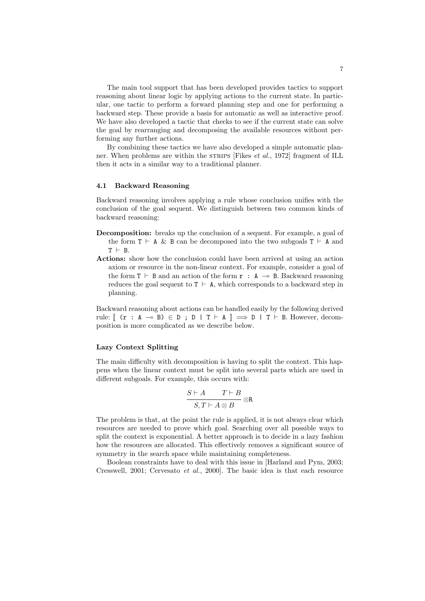The main tool support that has been developed provides tactics to support reasoning about linear logic by applying actions to the current state. In particular, one tactic to perform a forward planning step and one for performing a backward step. These provide a basis for automatic as well as interactive proof. We have also developed a tactic that checks to see if the current state can solve the goal by rearranging and decomposing the available resources without performing any further actions.

By combining these tactics we have also developed a simple automatic planner. When problems are within the strains [Fikes *et al.*, 1972] fragment of ILL then it acts in a similar way to a traditional planner.

#### 4.1 Backward Reasoning

Backward reasoning involves applying a rule whose conclusion unifies with the conclusion of the goal sequent. We distinguish between two common kinds of backward reasoning:

- Decomposition: breaks up the conclusion of a sequent. For example, a goal of the form  $T \vdash A \& B$  can be decomposed into the two subgoals  $T \vdash A$  and  $T$  ⊢ B
- Actions: show how the conclusion could have been arrived at using an action axiom or resource in the non-linear context. For example, consider a goal of the form  $T \vdash B$  and an action of the form  $r : A \rightarrow B$ . Backward reasoning reduces the goal sequent to  $T$  ⊢ A, which corresponds to a backward step in planning.

Backward reasoning about actions can be handled easily by the following derived rule:  $\lceil$  (**r** : A → B)  $\in$  D; D | T  $\vdash$  A  $\lceil$   $\implies$  D | T  $\vdash$  B. However, decomposition is more complicated as we describe below.

#### Lazy Context Splitting

The main difficulty with decomposition is having to split the context. This happens when the linear context must be split into several parts which are used in different subgoals. For example, this occurs with:

$$
\frac{S\vdash A\qquad T\vdash B}{S,T\vdash A\otimes B}\otimes \mathtt{R}
$$

The problem is that, at the point the rule is applied, it is not always clear which resources are needed to prove which goal. Searching over all possible ways to split the context is exponential. A better approach is to decide in a lazy fashion how the resources are allocated. This effectively removes a significant source of symmetry in the search space while maintaining completeness.

Boolean constraints have to deal with this issue in [Harland and Pym, 2003; Cresswell, 2001; Cervesato et al., 2000]. The basic idea is that each resource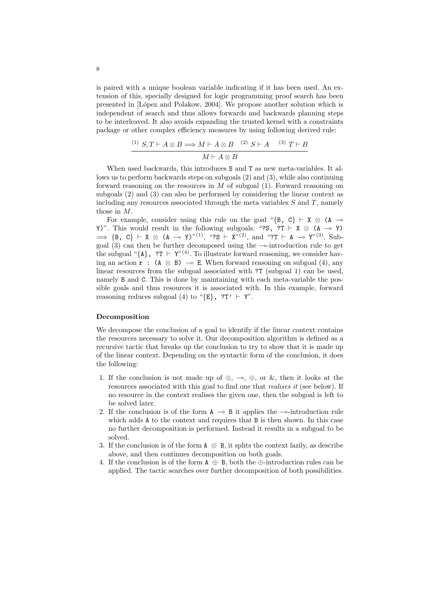is paired with a unique boolean variable indicating if it has been used. An extension of this, specially designed for logic programming proof search has been presented in [López and Polakow, 2004]. We propose another solution which is independent of search and thus allows forwards and backwards planning steps to be interleaved. It also avoids expanding the trusted kernel with a constraints package or other complex efficiency measures by using following derived rule:

$$
\frac{\text{(1)}\ S, T \vdash A \otimes B \Longrightarrow M \vdash A \otimes B \quad \text{(2)}\ S \vdash A \quad \text{(3)}\ T \vdash B}{M \vdash A \otimes B}
$$

When used backwards, this introduces S and T as new meta-variables. It allows us to perform backwards steps on subgoals (2) and (3), while also continuing forward reasoning on the resources in  $M$  of subgoal (1). Forward reasoning on subgoals (2) and (3) can also be performed by considering the linear context as including any resources associated through the meta variables  $S$  and  $T$ , namely those in M.

For example, consider using this rule on the goal "{B, C} ⊢ X  $\otimes$  (A – Y)". This would result in the following subgoals: "?S, ?T ⊢ X  $\otimes$  (A  $\multimap$  Y) ⇒ {B, C} ⊢ X ⊗ (A → Y)<sup>"(1)</sup>, "?S ⊢ X<sup>"(2)</sup>, and "?T ⊢ A → Y<sup>"(3)</sup>. Subgoal (3) can then be further decomposed using the ⊸-introduction rule to get the subgoal " $\{A\}$ , ?T  $\vdash Y''^{(4)}$ . To illustrate forward reasoning, we consider having an action  $\mathbf{r}$  : (A  $\otimes$  B)  $\multimap$  E. When forward reasoning on subgoal (4), any linear resources from the subgoal associated with ?T (subgoal 1) can be used, namely B and C. This is done by maintaining with each meta-variable the possible goals and thus resources it is associated with. In this example, forward reasoning reduces subgoal (4) to " $\{E\}$ , ?T'  $\vdash$  Y".

#### Decomposition

We decompose the conclusion of a goal to identify if the linear context contains the resources necessary to solve it. Our decomposition algorithm is defined as a recursive tactic that breaks up the conclusion to try to show that it is made up of the linear context. Depending on the syntactic form of the conclusion, it does the following:

- 1. If the conclusion is not made up of  $\otimes$ ,  $\multimap$ ,  $\oplus$ , or &, then it looks at the resources associated with this goal to find one that realises it (see below). If no resource in the context realises the given one, then the subgoal is left to be solved later.
- 2. If the conclusion is of the form  $A \rightarrow B$  it applies the  $\rightarrow$ -introduction rule which adds A to the context and requires that B is then shown. In this case no further decomposition is performed. Instead it results in a subgoal to be solved.
- 3. If the conclusion is of the form  $A \otimes B$ , it splits the context lazily, as describe above, and then continues decomposition on both goals.
- 4. If the conclusion is of the form  $A \oplus B$ , both the  $\oplus$ -introduction rules can be applied. The tactic searches over further decomposition of both possibilities.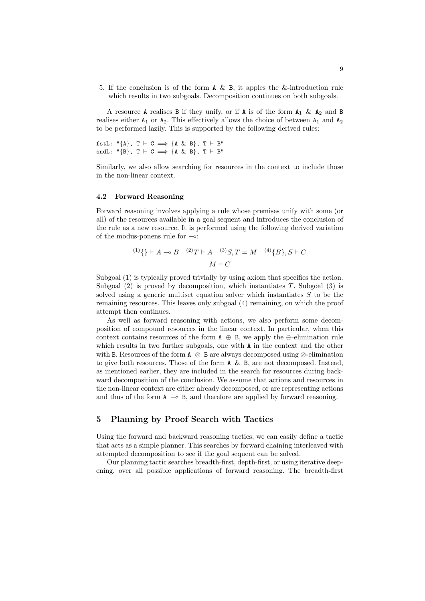5. If the conclusion is of the form  $A \& B$ , it apples the &-introduction rule which results in two subgoals. Decomposition continues on both subgoals.

A resource A realises B if they unify, or if A is of the form  $A_1 \& A_2$  and B realises either  $A_1$  or  $A_2$ . This effectively allows the choice of between  $A_1$  and  $A_2$ to be performed lazily. This is supported by the following derived rules:

fstL: " ${A}$ , T  $\vdash$  C  $\implies$   ${A \& B}$ , T  $\vdash$  B" sndL: " ${B}$ , T  $\vdash$  C  $\implies$   ${A \& B}$ , T  $\vdash$  B"

Similarly, we also allow searching for resources in the context to include those in the non-linear context.

#### 4.2 Forward Reasoning

Forward reasoning involves applying a rule whose premises unify with some (or all) of the resources available in a goal sequent and introduces the conclusion of the rule as a new resource. It is performed using the following derived variation of the modus-ponens rule for ⊸:

$$
\frac{(1)}{1} + A \rightarrow B \quad (2) + A \quad (3) + B \quad (4) + B \}, S \vdash C
$$

$$
M \vdash C
$$

Subgoal  $(1)$  is typically proved trivially by using axiom that specifies the action. Subgoal  $(2)$  is proved by decomposition, which instantiates T. Subgoal  $(3)$  is solved using a generic multiset equation solver which instantiates  $S$  to be the remaining resources. This leaves only subgoal (4) remaining, on which the proof attempt then continues.

As well as forward reasoning with actions, we also perform some decomposition of compound resources in the linear context. In particular, when this context contains resources of the form  $A \oplus B$ , we apply the  $\oplus$ -elimination rule which results in two further subgoals, one with A in the context and the other with B. Resources of the form  $A \otimes B$  are always decomposed using  $\otimes$ -elimination to give both resources. Those of the form  $A \& B$ , are not decomposed. Instead, as mentioned earlier, they are included in the search for resources during backward decomposition of the conclusion. We assume that actions and resources in the non-linear context are either already decomposed, or are representing actions and thus of the form  $A \rightarrow B$ , and therefore are applied by forward reasoning.

#### 5 Planning by Proof Search with Tactics

Using the forward and backward reasoning tactics, we can easily define a tactic that acts as a simple planner. This searches by forward chaining interleaved with attempted decomposition to see if the goal sequent can be solved.

Our planning tactic searches breadth-first, depth-first, or using iterative deepening, over all possible applications of forward reasoning. The breadth-first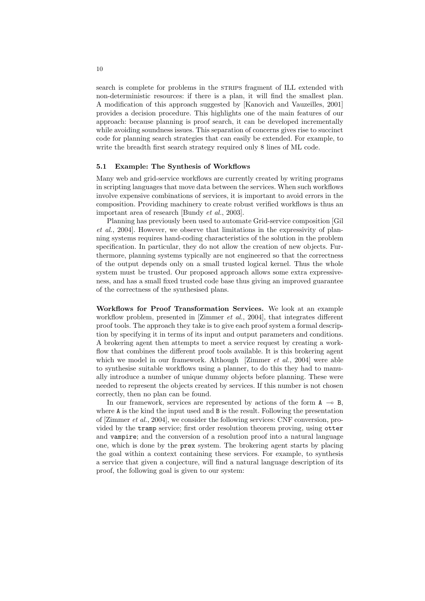search is complete for problems in the strains fragment of ILL extended with non-deterministic resources: if there is a plan, it will find the smallest plan. A modification of this approach suggested by [Kanovich and Vauzeilles, 2001] provides a decision procedure. This highlights one of the main features of our approach: because planning is proof search, it can be developed incrementally while avoiding soundness issues. This separation of concerns gives rise to succinct code for planning search strategies that can easily be extended. For example, to write the breadth first search strategy required only 8 lines of ML code.

#### 5.1 Example: The Synthesis of Workflows

Many web and grid-service workflows are currently created by writing programs in scripting languages that move data between the services. When such workflows involve expensive combinations of services, it is important to avoid errors in the composition. Providing machinery to create robust verified workflows is thus an important area of research [Bundy et al., 2003].

Planning has previously been used to automate Grid-service composition [Gil et al., 2004]. However, we observe that limitations in the expressivity of planning systems requires hand-coding characteristics of the solution in the problem specification. In particular, they do not allow the creation of new objects. Furthermore, planning systems typically are not engineered so that the correctness of the output depends only on a small trusted logical kernel. Thus the whole system must be trusted. Our proposed approach allows some extra expressiveness, and has a small fixed trusted code base thus giving an improved guarantee of the correctness of the synthesised plans.

Workflows for Proof Transformation Services. We look at an example workflow problem, presented in [Zimmer *et al.*, 2004], that integrates different proof tools. The approach they take is to give each proof system a formal description by specifying it in terms of its input and output parameters and conditions. A brokering agent then attempts to meet a service request by creating a workflow that combines the different proof tools available. It is this brokering agent which we model in our framework. Although [Zimmer  $et \ al., \ 2004$ ] were able to synthesise suitable workflows using a planner, to do this they had to manually introduce a number of unique dummy objects before planning. These were needed to represent the objects created by services. If this number is not chosen correctly, then no plan can be found.

In our framework, services are represented by actions of the form  $A \rightarrow B$ , where A is the kind the input used and B is the result. Following the presentation of [Zimmer et al., 2004], we consider the following services: CNF conversion, provided by the tramp service; first order resolution theorem proving, using otter and vampire; and the conversion of a resolution proof into a natural language one, which is done by the prex system. The brokering agent starts by placing the goal within a context containing these services. For example, to synthesis a service that given a conjecture, will find a natural language description of its proof, the following goal is given to our system: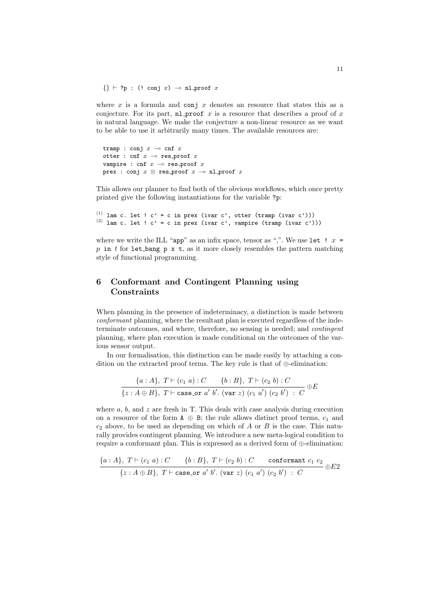$\{\}\vdash ?p : (!conj x) \multimap nl\_proof x$ 

where  $x$  is a formula and conj  $x$  denotes an resource that states this as a conjecture. For its part, nl proof x is a resource that describes a proof of x in natural language. We make the conjecture a non-linear resource as we want to be able to use it arbitrarily many times. The available resources are:

```
tramp : conj x \rightharpoonup cnf xotter : cnf x \multimap res_proof xvampire : cnf x \rightharpoonup res_proof xprex : conj x \otimes res_proof x \multimap nl_proof x
```
This allows our planner to find both of the obvious workflows, which once pretty printed give the following instantiations for the variable ?p:

(1) lam c. let !  $c' = c$  in prex (ivar c', otter (tramp (ivar c'))) (2) lam c. let !  $c' = c$  in prex (ivar c', vampire (tramp (ivar c')))

where we write the ILL "app" as an infix space, tensor as ",". We use let  $! x =$ p in t for let bang p x t, as it more closely resembles the pattern matching style of functional programming.

#### 6 Conformant and Contingent Planning using **Constraints**

When planning in the presence of indeterminacy, a distinction is made between conformant planning, where the resultant plan is executed regardless of the indeterminate outcomes, and where, therefore, no sensing is needed; and contingent planning, where plan execution is made conditional on the outcomes of the various sensor output.

In our formalisation, this distinction can be made easily by attaching a condition on the extracted proof terms. The key rule is that of ⊕-elimination:

$$
\frac{\{a:A\},\ T\vdash (c_1\ a):C\qquad \{b:B\},\ T\vdash (c_2\ b):C}{\{z:A\oplus B\},\ T\vdash \texttt{case\_or}\ a'\ b'.\ (\texttt{var}\ z)\ (c_1\ a')\ (c_2\ b')\ : \ C}\ \oplus E}
$$

where  $a, b$ , and  $z$  are fresh in T. This deals with case analysis during execution on a resource of the form  $A \oplus B$ ; the rule allows distinct proof terms,  $c_1$  and  $c_2$  above, to be used as depending on which of A or B is the case. This naturally provides contingent planning. We introduce a new meta-logical condition to require a conformant plan. This is expressed as a derived form of  $\bigoplus$ -elimination:

$$
\frac{\{a:A\},\ T\vdash (c_1\ a):C\ \{b:B\},\ T\vdash (c_2\ b):C\ \text{conformant }c_1\ c_2}{\{z:A\oplus B\},\ T\vdash \text{case-or}\ a'\ b'.\ (\text{var}\ z)\ (c_1\ a')\ (c_2\ b')\ :C} \oplus E2
$$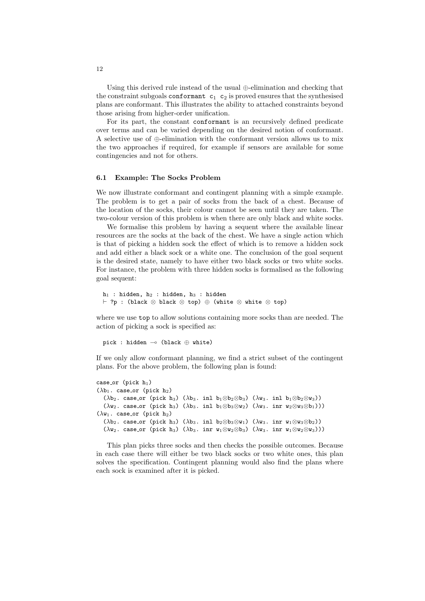Using this derived rule instead of the usual  $\bigoplus$ -elimination and checking that the constraint subgoals conformant  $c_1$   $c_2$  is proved ensures that the synthesised plans are conformant. This illustrates the ability to attached constraints beyond those arising from higher-order unification.

For its part, the constant conformant is an recursively defined predicate over terms and can be varied depending on the desired notion of conformant. A selective use of ⊕-elimination with the conformant version allows us to mix the two approaches if required, for example if sensors are available for some contingencies and not for others.

#### 6.1 Example: The Socks Problem

We now illustrate conformant and contingent planning with a simple example. The problem is to get a pair of socks from the back of a chest. Because of the location of the socks, their colour cannot be seen until they are taken. The two-colour version of this problem is when there are only black and white socks.

We formalise this problem by having a sequent where the available linear resources are the socks at the back of the chest. We have a single action which is that of picking a hidden sock the effect of which is to remove a hidden sock and add either a black sock or a white one. The conclusion of the goal sequent is the desired state, namely to have either two black socks or two white socks. For instance, the problem with three hidden socks is formalised as the following goal sequent:

```
h_1 : hidden, h_2 : hidden, h_3 : hidden
⊢ ?p : (black ⊗ black ⊗ top) ⊕ (white ⊗ white ⊗ top)
```
where we use top to allow solutions containing more socks than are needed. The action of picking a sock is specified as:

pick : hidden ⊸ (black ⊕ white)

If we only allow conformant planning, we find a strict subset of the contingent plans. For the above problem, the following plan is found:

```
case_ (pick h_1)
(\lambda b_1. \csc_0 r \text{ (pick } h_2)(\lambdab<sub>2</sub>. case_or (pick h<sub>3</sub>) (\lambdab<sub>3</sub>. inl b<sub>1</sub>⊗b<sub>2</sub>⊗b<sub>3</sub>) (\lambdaw<sub>3</sub>. inl b<sub>1</sub>⊗b<sub>2</sub>⊗w<sub>3</sub>))
     (\lambdaw<sub>2</sub>. case_or (pick h<sub>3</sub>) (\lambdab<sub>3</sub>. inl b<sub>1</sub>⊗b<sub>3</sub>⊗w<sub>2</sub>) (\lambdaw<sub>3</sub>. inr w<sub>2</sub>⊗w<sub>3</sub>⊗b<sub>1</sub>)))
(\lambda w_1. case_or (pick h_2)
     (\lambdab<sub>2</sub>. case_or (pick h<sub>3</sub>) (\lambdab<sub>3</sub>. inl b<sub>2</sub>⊗b<sub>3</sub>⊗w<sub>1</sub>) (\lambdaw<sub>3</sub>. inr w<sub>1</sub>⊗w<sub>3</sub>⊗b<sub>2</sub>))
     (\lambdaw<sub>2</sub>. case_or (pick h<sub>3</sub>) (\lambdab<sub>3</sub>. inr w<sub>1</sub>⊗w<sub>2</sub>⊗b<sub>3</sub>) (\lambdaw<sub>3</sub>. inr w<sub>1</sub>⊗w<sub>2</sub>⊗w<sub>3</sub>)))
```
This plan picks three socks and then checks the possible outcomes. Because in each case there will either be two black socks or two white ones, this plan solves the specification. Contingent planning would also find the plans where each sock is examined after it is picked.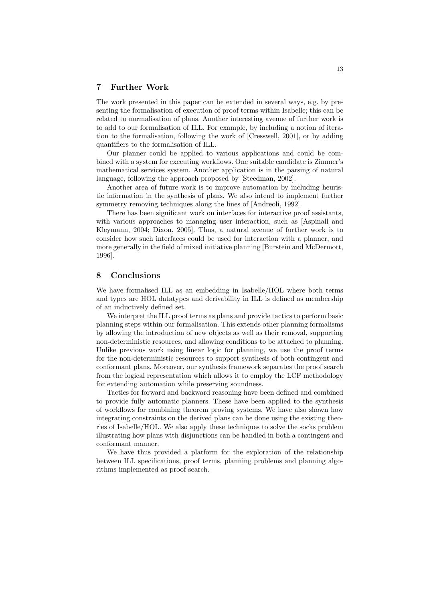#### 7 Further Work

The work presented in this paper can be extended in several ways, e.g. by presenting the formalisation of execution of proof terms within Isabelle; this can be related to normalisation of plans. Another interesting avenue of further work is to add to our formalisation of ILL. For example, by including a notion of iteration to the formalisation, following the work of [Cresswell, 2001], or by adding quantifiers to the formalisation of ILL.

Our planner could be applied to various applications and could be combined with a system for executing workflows. One suitable candidate is Zimmer's mathematical services system. Another application is in the parsing of natural language, following the approach proposed by [Steedman, 2002].

Another area of future work is to improve automation by including heuristic information in the synthesis of plans. We also intend to implement further symmetry removing techniques along the lines of [Andreoli, 1992].

There has been significant work on interfaces for interactive proof assistants, with various approaches to managing user interaction, such as [Aspinall and Kleymann, 2004; Dixon, 2005]. Thus, a natural avenue of further work is to consider how such interfaces could be used for interaction with a planner, and more generally in the field of mixed initiative planning [Burstein and McDermott, 1996].

#### 8 Conclusions

We have formalised ILL as an embedding in Isabelle/HOL where both terms and types are HOL datatypes and derivability in ILL is defined as membership of an inductively defined set.

We interpret the ILL proof terms as plans and provide tactics to perform basic planning steps within our formalisation. This extends other planning formalisms by allowing the introduction of new objects as well as their removal, supporting non-deterministic resources, and allowing conditions to be attached to planning. Unlike previous work using linear logic for planning, we use the proof terms for the non-deterministic resources to support synthesis of both contingent and conformant plans. Moreover, our synthesis framework separates the proof search from the logical representation which allows it to employ the LCF methodology for extending automation while preserving soundness.

Tactics for forward and backward reasoning have been defined and combined to provide fully automatic planners. These have been applied to the synthesis of workflows for combining theorem proving systems. We have also shown how integrating constraints on the derived plans can be done using the existing theories of Isabelle/HOL. We also apply these techniques to solve the socks problem illustrating how plans with disjunctions can be handled in both a contingent and conformant manner.

We have thus provided a platform for the exploration of the relationship between ILL specifications, proof terms, planning problems and planning algorithms implemented as proof search.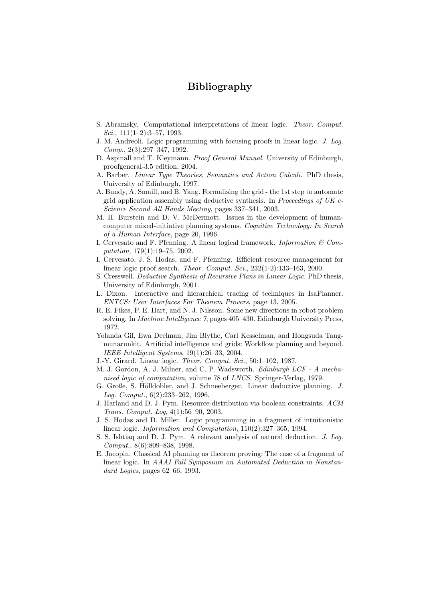### Bibliography

- S. Abramsky. Computational interpretations of linear logic. Theor. Comput. Sci.,  $111(1-2):3-57, 1993.$
- J. M. Andreoli. Logic programming with focusing proofs in linear logic. J. Log. Comp., 2(3):297–347, 1992.
- D. Aspinall and T. Kleymann. *Proof General Manual*. University of Edinburgh, proofgeneral-3.5 edition, 2004.
- A. Barber. Linear Type Theories, Semantics and Action Calculi. PhD thesis, University of Edinburgh, 1997.
- A. Bundy, A. Smaill, and B. Yang. Formalising the grid the 1st step to automate grid application assembly using deductive synthesis. In Proceedings of UK  $e$ -Science Second All Hands Meeting, pages 337–341, 2003.
- M. H. Burstein and D. V. McDermott. Issues in the development of humancomputer mixed-initiative planning systems. Cognitive Technology: In Search of a Human Interface, page 20, 1996.
- I. Cervesato and F. Pfenning. A linear logical framework. Information  $\mathcal C$  Computation, 179(1):19–75, 2002.
- I. Cervesato, J. S. Hodas, and F. Pfenning. Efficient resource management for linear logic proof search. Theor. Comput. Sci., 232(1-2):133–163, 2000.
- S. Cresswell. Deductive Synthesis of Recursive Plans in Linear Logic. PhD thesis, University of Edinburgh, 2001.
- L. Dixon. Interactive and hierarchical tracing of techniques in IsaPlanner. ENTCS: User Interfaces For Theorem Provers, page 13, 2005.
- R. E. Fikes, P. E. Hart, and N. J. Nilsson. Some new directions in robot problem solving. In Machine Intelligence 7, pages 405–430. Edinburgh University Press, 1972.
- Yolanda Gil, Ewa Deelman, Jim Blythe, Carl Kesselman, and Hongsuda Tangmunarunkit. Artificial intelligence and grids: Workflow planning and beyond. IEEE Intelligent Systems, 19(1):26–33, 2004.
- J.-Y. Girard. Linear logic. Theor. Comput. Sci., 50:1–102, 1987.
- M. J. Gordon, A. J. Milner, and C. P. Wadsworth. Edinburgh LCF A mechanised logic of computation, volume 78 of LNCS. Springer-Verlag, 1979.
- G. Große, S. Hölldobler, and J. Schneeberger. Linear deductive planning. J. Log. Comput., 6(2):233–262, 1996.
- J. Harland and D. J. Pym. Resource-distribution via boolean constraints. ACM Trans. Comput. Log, 4(1):56–90, 2003.
- J. S. Hodas and D. Miller. Logic programming in a fragment of intuitionistic linear logic. Information and Computation, 110(2):327–365, 1994.
- S. S. Ishtiaq and D. J. Pym. A relevant analysis of natural deduction. J. Log. Comput., 8(6):809–838, 1998.
- E. Jacopin. Classical AI planning as theorem proving: The case of a fragment of linear logic. In AAAI Fall Symposium on Automated Deduction in Nonstandard Logics, pages 62–66, 1993.